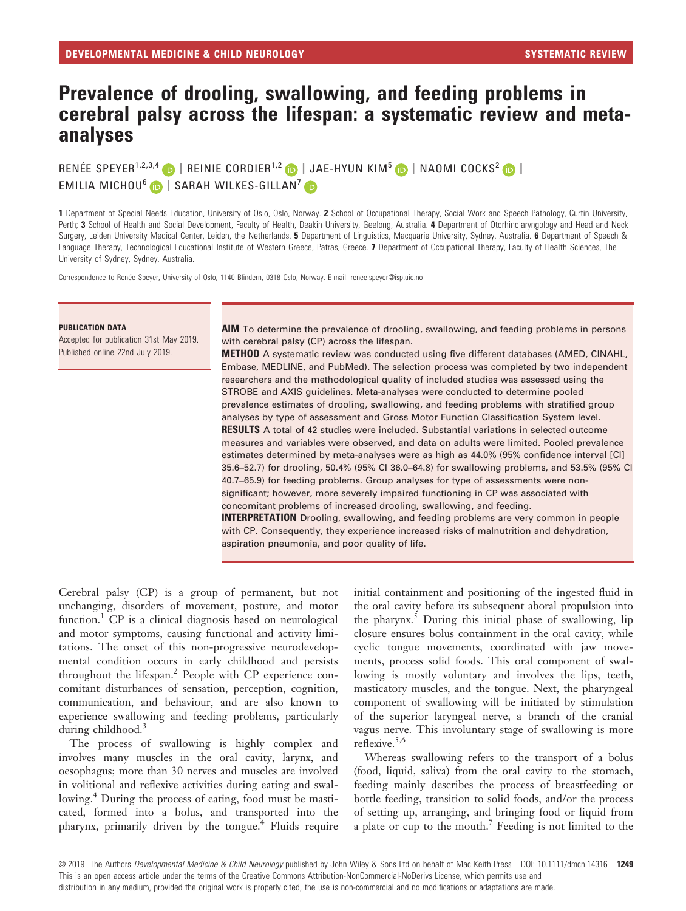# Prevalence of drooling, swallowing, and feeding problems in cerebral palsy across the lifespan: a systematic review and metaanalyses

RENÉE SPEYER<sup>1,2,3,4</sup> D | REINIE CORDIER<sup>1,2</sup> D | JAE-HYUN KIM<sup>5</sup> D | NAOMI COCKS<sup>2</sup> D | EMILIA MICHOU<sup>6</sup> D | SARAH WILKES-GILLAN<sup>7</sup> D

1 Department of Special Needs Education, University of Oslo, Oslo, Norway. 2 School of Occupational Therapy, Social Work and Speech Pathology, Curtin University, Perth; 3 School of Health and Social Development, Faculty of Health, Deakin University, Geelong, Australia. 4 Department of Otorhinolaryngology and Head and Neck Surgery, Leiden University Medical Center, Leiden, the Netherlands. 5 Department of Linguistics, Macquarie University, Sydney, Australia. 6 Department of Speech & Language Therapy, Technological Educational Institute of Western Greece, Patras, Greece. 7 Department of Occupational Therapy, Faculty of Health Sciences, The University of Sydney, Sydney, Australia.

Correspondence to Renée Speyer, University of Oslo, 1140 Blindern, 0318 Oslo, Norway. E-mail: [renee.speyer@isp.uio.no](mailto:)

#### PUBLICATION DATA

Accepted for publication 31st May 2019. Published online 22nd July 2019.

**AIM** To determine the prevalence of drooling, swallowing, and feeding problems in persons with cerebral palsy (CP) across the lifespan.

METHOD A systematic review was conducted using five different databases (AMED, CINAHL, Embase, MEDLINE, and PubMed). The selection process was completed by two independent researchers and the methodological quality of included studies was assessed using the STROBE and AXIS guidelines. Meta-analyses were conducted to determine pooled prevalence estimates of drooling, swallowing, and feeding problems with stratified group analyses by type of assessment and Gross Motor Function Classification System level. RESULTS A total of 42 studies were included. Substantial variations in selected outcome measures and variables were observed, and data on adults were limited. Pooled prevalence estimates determined by meta-analyses were as high as 44.0% (95% confidence interval [CI] 35.6–52.7) for drooling, 50.4% (95% CI 36.0–64.8) for swallowing problems, and 53.5% (95% CI 40.7–65.9) for feeding problems. Group analyses for type of assessments were nonsignificant; however, more severely impaired functioning in CP was associated with concomitant problems of increased drooling, swallowing, and feeding. **INTERPRETATION** Drooling, swallowing, and feeding problems are very common in people

with CP. Consequently, they experience increased risks of malnutrition and dehydration, aspiration pneumonia, and poor quality of life.

Cerebral palsy (CP) is a group of permanent, but not unchanging, disorders of movement, posture, and motor function.<sup>1</sup> CP is a clinical diagnosis based on neurological and motor symptoms, causing functional and activity limitations. The onset of this non-progressive neurodevelopmental condition occurs in early childhood and persists throughout the lifespan.<sup>2</sup> People with CP experience concomitant disturbances of sensation, perception, cognition, communication, and behaviour, and are also known to experience swallowing and feeding problems, particularly during childhood.<sup>3</sup>

The process of swallowing is highly complex and involves many muscles in the oral cavity, larynx, and oesophagus; more than 30 nerves and muscles are involved in volitional and reflexive activities during eating and swallowing.<sup>4</sup> During the process of eating, food must be masticated, formed into a bolus, and transported into the pharynx, primarily driven by the tongue.<sup>4</sup> Fluids require

initial containment and positioning of the ingested fluid in the oral cavity before its subsequent aboral propulsion into the pharynx.<sup>5</sup> During this initial phase of swallowing, lip closure ensures bolus containment in the oral cavity, while cyclic tongue movements, coordinated with jaw movements, process solid foods. This oral component of swallowing is mostly voluntary and involves the lips, teeth, masticatory muscles, and the tongue. Next, the pharyngeal component of swallowing will be initiated by stimulation of the superior laryngeal nerve, a branch of the cranial vagus nerve. This involuntary stage of swallowing is more reflexive.<sup>5,6</sup>

Whereas swallowing refers to the transport of a bolus (food, liquid, saliva) from the oral cavity to the stomach, feeding mainly describes the process of breastfeeding or bottle feeding, transition to solid foods, and/or the process of setting up, arranging, and bringing food or liquid from a plate or cup to the mouth.<sup>7</sup> Feeding is not limited to the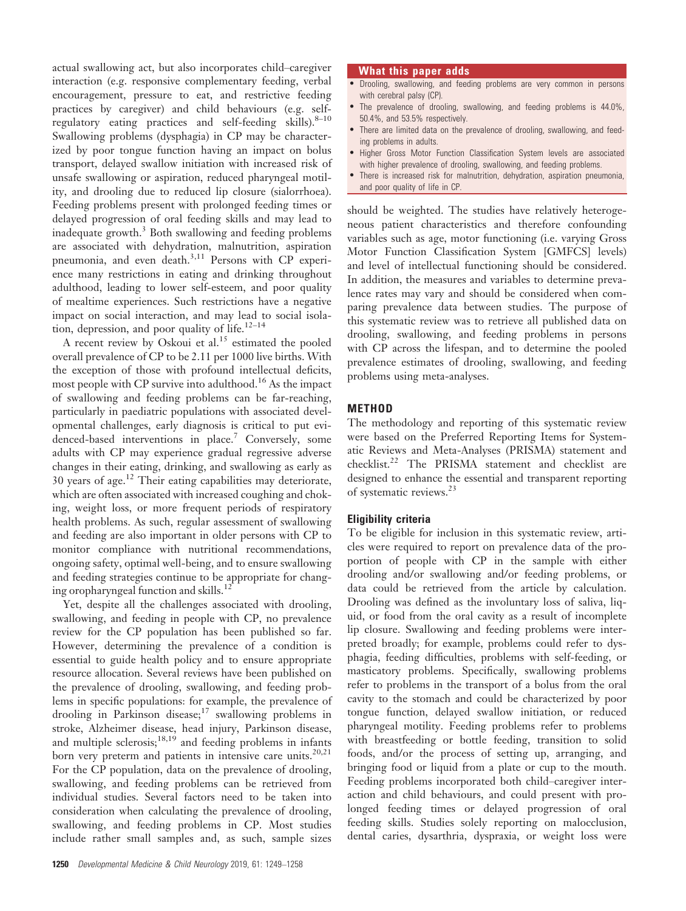actual swallowing act, but also incorporates child–caregiver interaction (e.g. responsive complementary feeding, verbal encouragement, pressure to eat, and restrictive feeding practices by caregiver) and child behaviours (e.g. selfregulatory eating practices and self-feeding skills). $8-10$ Swallowing problems (dysphagia) in CP may be characterized by poor tongue function having an impact on bolus transport, delayed swallow initiation with increased risk of unsafe swallowing or aspiration, reduced pharyngeal motility, and drooling due to reduced lip closure (sialorrhoea). Feeding problems present with prolonged feeding times or delayed progression of oral feeding skills and may lead to inadequate growth.<sup>3</sup> Both swallowing and feeding problems are associated with dehydration, malnutrition, aspiration pneumonia, and even death.<sup>3,11</sup> Persons with CP experience many restrictions in eating and drinking throughout adulthood, leading to lower self-esteem, and poor quality of mealtime experiences. Such restrictions have a negative impact on social interaction, and may lead to social isolation, depression, and poor quality of life. $12-14$ 

A recent review by Oskoui et  $al$ <sup>15</sup> estimated the pooled overall prevalence of CP to be 2.11 per 1000 live births. With the exception of those with profound intellectual deficits, most people with CP survive into adulthood.<sup>16</sup> As the impact of swallowing and feeding problems can be far-reaching, particularly in paediatric populations with associated developmental challenges, early diagnosis is critical to put evidenced-based interventions in place.<sup>7</sup> Conversely, some adults with CP may experience gradual regressive adverse changes in their eating, drinking, and swallowing as early as  $30$  years of age.<sup>12</sup> Their eating capabilities may deteriorate, which are often associated with increased coughing and choking, weight loss, or more frequent periods of respiratory health problems. As such, regular assessment of swallowing and feeding are also important in older persons with CP to monitor compliance with nutritional recommendations, ongoing safety, optimal well-being, and to ensure swallowing and feeding strategies continue to be appropriate for changing oropharyngeal function and skills.<sup>12</sup>

Yet, despite all the challenges associated with drooling, swallowing, and feeding in people with CP, no prevalence review for the CP population has been published so far. However, determining the prevalence of a condition is essential to guide health policy and to ensure appropriate resource allocation. Several reviews have been published on the prevalence of drooling, swallowing, and feeding problems in specific populations: for example, the prevalence of drooling in Parkinson disease;<sup>17</sup> swallowing problems in stroke, Alzheimer disease, head injury, Parkinson disease, and multiple sclerosis;<sup>18,19</sup> and feeding problems in infants born very preterm and patients in intensive care units.<sup>20,21</sup> For the CP population, data on the prevalence of drooling, swallowing, and feeding problems can be retrieved from individual studies. Several factors need to be taken into consideration when calculating the prevalence of drooling, swallowing, and feeding problems in CP. Most studies include rather small samples and, as such, sample sizes

### What this paper adds

- Drooling, swallowing, and feeding problems are very common in persons with cerebral palsy (CP).
- The prevalence of drooling, swallowing, and feeding problems is 44.0%, 50.4%, and 53.5% respectively.
- There are limited data on the prevalence of drooling, swallowing, and feeding problems in adults.
- Higher Gross Motor Function Classification System levels are associated with higher prevalence of drooling, swallowing, and feeding problems.
- There is increased risk for malnutrition, dehydration, aspiration pneumonia, and poor quality of life in CP.

should be weighted. The studies have relatively heterogeneous patient characteristics and therefore confounding variables such as age, motor functioning (i.e. varying Gross Motor Function Classification System [GMFCS] levels) and level of intellectual functioning should be considered. In addition, the measures and variables to determine prevalence rates may vary and should be considered when comparing prevalence data between studies. The purpose of this systematic review was to retrieve all published data on drooling, swallowing, and feeding problems in persons with CP across the lifespan, and to determine the pooled prevalence estimates of drooling, swallowing, and feeding problems using meta-analyses.

## **METHOD**

The methodology and reporting of this systematic review were based on the Preferred Reporting Items for Systematic Reviews and Meta-Analyses (PRISMA) statement and checklist.<sup>22</sup> The PRISMA statement and checklist are designed to enhance the essential and transparent reporting of systematic reviews.<sup>23</sup>

## Eligibility criteria

To be eligible for inclusion in this systematic review, articles were required to report on prevalence data of the proportion of people with CP in the sample with either drooling and/or swallowing and/or feeding problems, or data could be retrieved from the article by calculation. Drooling was defined as the involuntary loss of saliva, liquid, or food from the oral cavity as a result of incomplete lip closure. Swallowing and feeding problems were interpreted broadly; for example, problems could refer to dysphagia, feeding difficulties, problems with self-feeding, or masticatory problems. Specifically, swallowing problems refer to problems in the transport of a bolus from the oral cavity to the stomach and could be characterized by poor tongue function, delayed swallow initiation, or reduced pharyngeal motility. Feeding problems refer to problems with breastfeeding or bottle feeding, transition to solid foods, and/or the process of setting up, arranging, and bringing food or liquid from a plate or cup to the mouth. Feeding problems incorporated both child–caregiver interaction and child behaviours, and could present with prolonged feeding times or delayed progression of oral feeding skills. Studies solely reporting on malocclusion, dental caries, dysarthria, dyspraxia, or weight loss were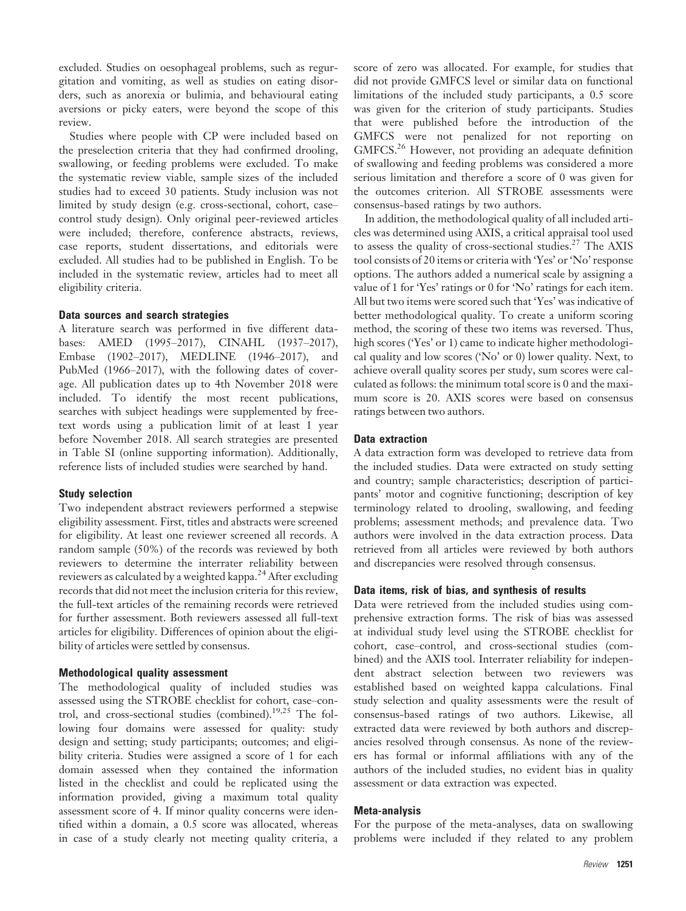excluded. Studies on oesophageal problems, such as regurgitation and vomiting, as well as studies on eating disorders, such as anorexia or bulimia, and behavioural eating aversions or picky eaters, were beyond the scope of this review.

Studies where people with CP were included based on the preselection criteria that they had confirmed drooling, swallowing, or feeding problems were excluded. To make the systematic review viable, sample sizes of the included studies had to exceed 30 patients. Study inclusion was not limited by study design (e.g. cross-sectional, cohort, case– control study design). Only original peer-reviewed articles were included; therefore, conference abstracts, reviews, case reports, student dissertations, and editorials were excluded. All studies had to be published in English. To be included in the systematic review, articles had to meet all eligibility criteria.

#### Data sources and search strategies

A literature search was performed in five different databases: AMED (1995–2017), CINAHL (1937–2017), Embase (1902–2017), MEDLINE (1946–2017), and PubMed (1966–2017), with the following dates of coverage. All publication dates up to 4th November 2018 were included. To identify the most recent publications, searches with subject headings were supplemented by freetext words using a publication limit of at least 1 year before November 2018. All search strategies are presented in Table SI (online supporting information). Additionally, reference lists of included studies were searched by hand.

## Study selection

Two independent abstract reviewers performed a stepwise eligibility assessment. First, titles and abstracts were screened for eligibility. At least one reviewer screened all records. A random sample (50%) of the records was reviewed by both reviewers to determine the interrater reliability between reviewers as calculated by a weighted kappa.<sup>24</sup> After excluding records that did not meet the inclusion criteria for this review, the full-text articles of the remaining records were retrieved for further assessment. Both reviewers assessed all full-text articles for eligibility. Differences of opinion about the eligibility of articles were settled by consensus.

## Methodological quality assessment

The methodological quality of included studies was assessed using the STROBE checklist for cohort, case–control, and cross-sectional studies (combined).<sup>19,25</sup> The following four domains were assessed for quality: study design and setting; study participants; outcomes; and eligibility criteria. Studies were assigned a score of 1 for each domain assessed when they contained the information listed in the checklist and could be replicated using the information provided, giving a maximum total quality assessment score of 4. If minor quality concerns were identified within a domain, a 0.5 score was allocated, whereas in case of a study clearly not meeting quality criteria, a

score of zero was allocated. For example, for studies that did not provide GMFCS level or similar data on functional limitations of the included study participants, a 0.5 score was given for the criterion of study participants. Studies that were published before the introduction of the GMFCS were not penalized for not reporting on GMFCS.<sup>26</sup> However, not providing an adequate definition of swallowing and feeding problems was considered a more serious limitation and therefore a score of 0 was given for the outcomes criterion. All STROBE assessments were consensus-based ratings by two authors.

In addition, the methodological quality of all included articles was determined using AXIS, a critical appraisal tool used to assess the quality of cross-sectional studies.<sup>27</sup> The AXIS tool consists of 20 items or criteria with 'Yes' or 'No' response options. The authors added a numerical scale by assigning a value of 1 for 'Yes' ratings or 0 for 'No' ratings for each item. All but two items were scored such that 'Yes' was indicative of better methodological quality. To create a uniform scoring method, the scoring of these two items was reversed. Thus, high scores ('Yes' or 1) came to indicate higher methodological quality and low scores ('No' or 0) lower quality. Next, to achieve overall quality scores per study, sum scores were calculated as follows: the minimum total score is 0 and the maximum score is 20. AXIS scores were based on consensus ratings between two authors.

## Data extraction

A data extraction form was developed to retrieve data from the included studies. Data were extracted on study setting and country; sample characteristics; description of participants' motor and cognitive functioning; description of key terminology related to drooling, swallowing, and feeding problems; assessment methods; and prevalence data. Two authors were involved in the data extraction process. Data retrieved from all articles were reviewed by both authors and discrepancies were resolved through consensus.

## Data items, risk of bias, and synthesis of results

Data were retrieved from the included studies using comprehensive extraction forms. The risk of bias was assessed at individual study level using the STROBE checklist for cohort, case–control, and cross-sectional studies (combined) and the AXIS tool. Interrater reliability for independent abstract selection between two reviewers was established based on weighted kappa calculations. Final study selection and quality assessments were the result of consensus-based ratings of two authors. Likewise, all extracted data were reviewed by both authors and discrepancies resolved through consensus. As none of the reviewers has formal or informal affiliations with any of the authors of the included studies, no evident bias in quality assessment or data extraction was expected.

## Meta-analysis

For the purpose of the meta-analyses, data on swallowing problems were included if they related to any problem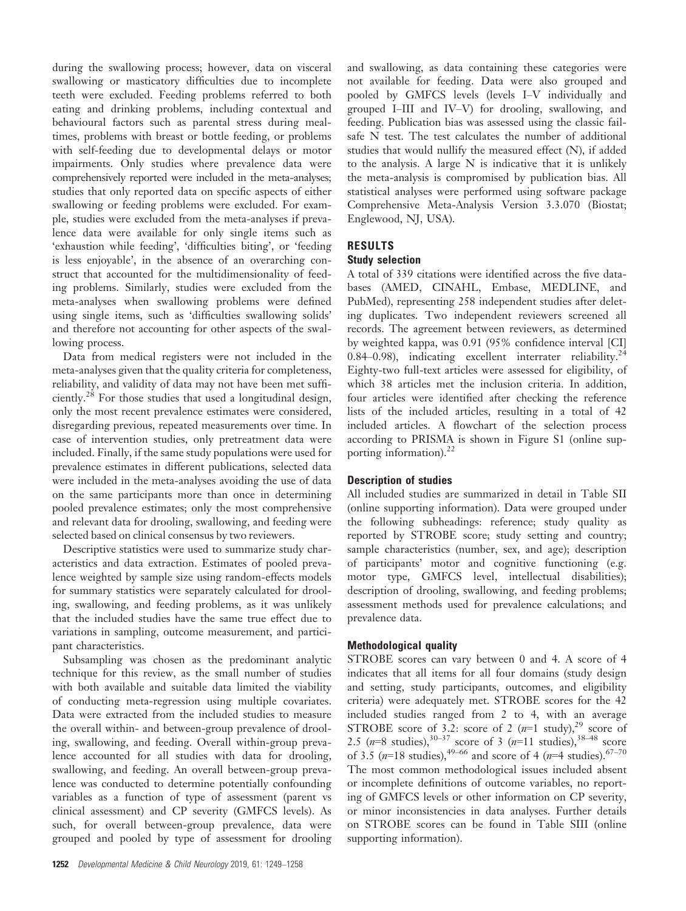during the swallowing process; however, data on visceral swallowing or masticatory difficulties due to incomplete teeth were excluded. Feeding problems referred to both eating and drinking problems, including contextual and behavioural factors such as parental stress during mealtimes, problems with breast or bottle feeding, or problems with self-feeding due to developmental delays or motor impairments. Only studies where prevalence data were comprehensively reported were included in the meta-analyses; studies that only reported data on specific aspects of either swallowing or feeding problems were excluded. For example, studies were excluded from the meta-analyses if prevalence data were available for only single items such as 'exhaustion while feeding', 'difficulties biting', or 'feeding is less enjoyable', in the absence of an overarching construct that accounted for the multidimensionality of feeding problems. Similarly, studies were excluded from the meta-analyses when swallowing problems were defined using single items, such as 'difficulties swallowing solids' and therefore not accounting for other aspects of the swallowing process.

Data from medical registers were not included in the meta-analyses given that the quality criteria for completeness, reliability, and validity of data may not have been met sufficiently.<sup>28</sup> For those studies that used a longitudinal design, only the most recent prevalence estimates were considered, disregarding previous, repeated measurements over time. In case of intervention studies, only pretreatment data were included. Finally, if the same study populations were used for prevalence estimates in different publications, selected data were included in the meta-analyses avoiding the use of data on the same participants more than once in determining pooled prevalence estimates; only the most comprehensive and relevant data for drooling, swallowing, and feeding were selected based on clinical consensus by two reviewers.

Descriptive statistics were used to summarize study characteristics and data extraction. Estimates of pooled prevalence weighted by sample size using random-effects models for summary statistics were separately calculated for drooling, swallowing, and feeding problems, as it was unlikely that the included studies have the same true effect due to variations in sampling, outcome measurement, and participant characteristics.

Subsampling was chosen as the predominant analytic technique for this review, as the small number of studies with both available and suitable data limited the viability of conducting meta-regression using multiple covariates. Data were extracted from the included studies to measure the overall within- and between-group prevalence of drooling, swallowing, and feeding. Overall within-group prevalence accounted for all studies with data for drooling, swallowing, and feeding. An overall between-group prevalence was conducted to determine potentially confounding variables as a function of type of assessment (parent vs clinical assessment) and CP severity (GMFCS levels). As such, for overall between-group prevalence, data were grouped and pooled by type of assessment for drooling

and swallowing, as data containing these categories were not available for feeding. Data were also grouped and pooled by GMFCS levels (levels I–V individually and grouped I–III and IV–V) for drooling, swallowing, and feeding. Publication bias was assessed using the classic failsafe N test. The test calculates the number of additional studies that would nullify the measured effect (N), if added to the analysis. A large  $N$  is indicative that it is unlikely the meta-analysis is compromised by publication bias. All statistical analyses were performed using software package Comprehensive Meta-Analysis Version 3.3.070 (Biostat; Englewood, NJ, USA).

## RESULTS

## Study selection

A total of 339 citations were identified across the five databases (AMED, CINAHL, Embase, MEDLINE, and PubMed), representing 258 independent studies after deleting duplicates. Two independent reviewers screened all records. The agreement between reviewers, as determined by weighted kappa, was 0.91 (95% confidence interval [CI] 0.84–0.98), indicating excellent interrater reliability.<sup>24</sup> Eighty-two full-text articles were assessed for eligibility, of which 38 articles met the inclusion criteria. In addition, four articles were identified after checking the reference lists of the included articles, resulting in a total of 42 included articles. A flowchart of the selection process according to PRISMA is shown in Figure S1 (online supporting information). $^{22}$ 

## Description of studies

All included studies are summarized in detail in Table SII (online supporting information). Data were grouped under the following subheadings: reference; study quality as reported by STROBE score; study setting and country; sample characteristics (number, sex, and age); description of participants' motor and cognitive functioning (e.g. motor type, GMFCS level, intellectual disabilities); description of drooling, swallowing, and feeding problems; assessment methods used for prevalence calculations; and prevalence data.

## Methodological quality

STROBE scores can vary between 0 and 4. A score of 4 indicates that all items for all four domains (study design and setting, study participants, outcomes, and eligibility criteria) were adequately met. STROBE scores for the 42 included studies ranged from 2 to 4, with an average STROBE score of 3.2: score of 2  $(n=1 \text{ study})$ ,<sup>29</sup> score of 2.5 ( $n=8$  studies),  $30-37$  score of 3 ( $n=11$  studies),  $38-48$  score of 3.5 (n=18 studies),<sup>49–66</sup> and score of 4 (n=4 studies).<sup>67–70</sup> The most common methodological issues included absent or incomplete definitions of outcome variables, no reporting of GMFCS levels or other information on CP severity, or minor inconsistencies in data analyses. Further details on STROBE scores can be found in Table SIII (online supporting information).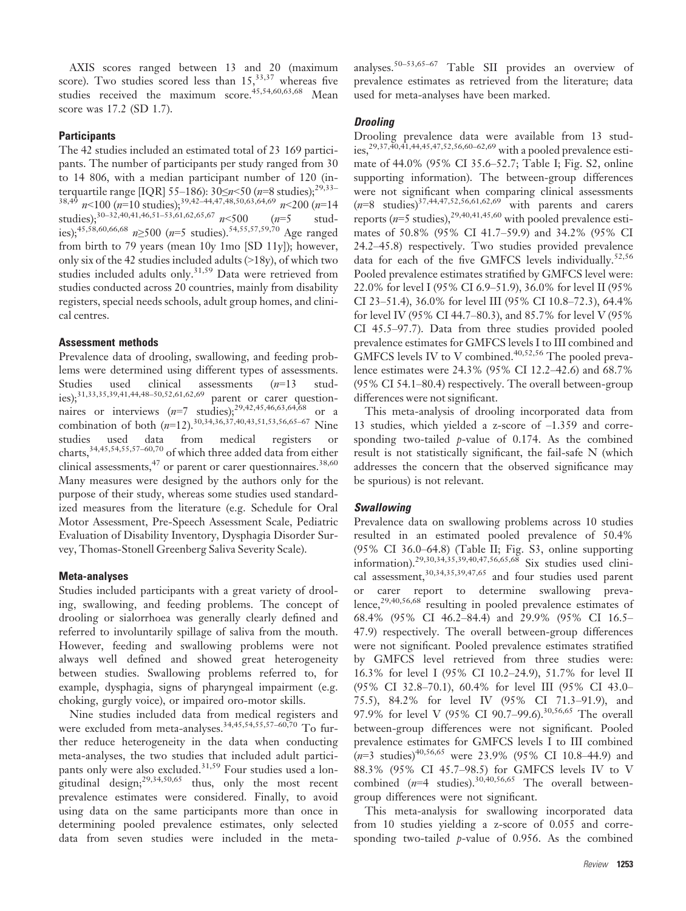AXIS scores ranged between 13 and 20 (maximum score). Two studies scored less than  $15,33,37$  whereas five studies received the maximum score.<sup>45,54,60,63,68</sup> Mean score was 17.2 (SD 1.7).

## **Participants**

The 42 studies included an estimated total of 23 169 participants. The number of participants per study ranged from 30 to 14 806, with a median participant number of 120 (interquartile range [IQR] 55–186):  $30 \le n \le 50 (n=8 \text{ studies})$ ;<sup>29,33–</sup>  $38,49 \n n<100 \n (n=10 \text{ studies})$ ;  $39,42-44,47,48,50,63,64,69 \n n<200 \n (n=14 \n)$ studies);<sup>30–32,40,41,46,51–53,61,62,65,67</sup>  $n < 500$  ( $n=5$  studies);<sup>45,58,60,66,68</sup> n≥500 (n=5 studies).<sup>54,55,57,59,70</sup> Age ranged from birth to 79 years (mean 10y 1mo [SD 11y]); however, only six of the 42 studies included adults  $(>18y)$ , of which two studies included adults only.<sup>31,59</sup> Data were retrieved from studies conducted across 20 countries, mainly from disability registers, special needs schools, adult group homes, and clinical centres.

## Assessment methods

Prevalence data of drooling, swallowing, and feeding problems were determined using different types of assessments. Studies used clinical assessments  $(n=13$  studies);<sup>31,33,35,39,41,44,48-50,52,61,62,69</sup> parent or carer questionnaires or interviews  $(n=7 \text{ studies})$ ;<sup>29,42,45,46,63,64,68</sup> or a combination of both  $(n=12)$ ,  $30,34,36,37,40,43,51,53,56,65-67$  Nine studies used data from medical registers or charts,34,45,54,55,57–60,70 of which three added data from either clinical assessments, $47$  or parent or carer questionnaires.  $38,60$ Many measures were designed by the authors only for the purpose of their study, whereas some studies used standardized measures from the literature (e.g. Schedule for Oral Motor Assessment, Pre-Speech Assessment Scale, Pediatric Evaluation of Disability Inventory, Dysphagia Disorder Survey, Thomas-Stonell Greenberg Saliva Severity Scale).

## Meta-analyses

Studies included participants with a great variety of drooling, swallowing, and feeding problems. The concept of drooling or sialorrhoea was generally clearly defined and referred to involuntarily spillage of saliva from the mouth. However, feeding and swallowing problems were not always well defined and showed great heterogeneity between studies. Swallowing problems referred to, for example, dysphagia, signs of pharyngeal impairment (e.g. choking, gurgly voice), or impaired oro-motor skills.

Nine studies included data from medical registers and were excluded from meta-analyses.<sup>34,45,54,55,57–60,70</sup> To further reduce heterogeneity in the data when conducting meta-analyses, the two studies that included adult participants only were also excluded.<sup>31,59</sup> Four studies used a longitudinal design;<sup>29,34,50,65</sup> thus, only the most recent prevalence estimates were considered. Finally, to avoid using data on the same participants more than once in determining pooled prevalence estimates, only selected data from seven studies were included in the meta-

analyses.50–53,65–67 Table SII provides an overview of prevalence estimates as retrieved from the literature; data used for meta-analyses have been marked.

## **Drooling**

Drooling prevalence data were available from 13 studies,<sup>29,37,40,41,44,45,47,52,56,60–62,69</sup> with a pooled prevalence estimate of 44.0% (95% CI 35.6–52.7; Table I; Fig. S2, online supporting information). The between-group differences were not significant when comparing clinical assessments  $(n=8 \text{ studies})^{37,44,47,52,56,61,62,69}$  with parents and carers reports  $(n=5 \text{ studies})$ ,<sup>29,40,41,45,60</sup> with pooled prevalence estimates of 50.8% (95% CI 41.7–59.9) and 34.2% (95% CI 24.2–45.8) respectively. Two studies provided prevalence data for each of the five GMFCS levels individually.<sup>52,56</sup> Pooled prevalence estimates stratified by GMFCS level were: 22.0% for level I (95% CI 6.9–51.9), 36.0% for level II (95% CI 23–51.4), 36.0% for level III (95% CI 10.8–72.3), 64.4% for level IV (95% CI 44.7–80.3), and 85.7% for level V (95% CI 45.5–97.7). Data from three studies provided pooled prevalence estimates for GMFCS levels I to III combined and GMFCS levels IV to V combined.<sup>40,52,56</sup> The pooled prevalence estimates were 24.3% (95% CI 12.2–42.6) and 68.7% (95% CI 54.1–80.4) respectively. The overall between-group differences were not significant.

This meta-analysis of drooling incorporated data from 13 studies, which yielded a z-score of –1.359 and corresponding two-tailed  $p$ -value of 0.174. As the combined result is not statistically significant, the fail-safe N (which addresses the concern that the observed significance may be spurious) is not relevant.

## **Swallowing**

Prevalence data on swallowing problems across 10 studies resulted in an estimated pooled prevalence of 50.4% (95% CI 36.0–64.8) (Table II; Fig. S3, online supporting information).29,30,34,35,39,40,47,56,65,68 Six studies used clinical assessment,<sup>30,34,35,39,47,65</sup> and four studies used parent or carer report to determine swallowing prevalence,  $29,40,56,68$  resulting in pooled prevalence estimates of 68.4% (95% CI 46.2–84.4) and 29.9% (95% CI 16.5– 47.9) respectively. The overall between-group differences were not significant. Pooled prevalence estimates stratified by GMFCS level retrieved from three studies were: 16.3% for level I (95% CI 10.2–24.9), 51.7% for level II (95% CI 32.8–70.1), 60.4% for level III (95% CI 43.0– 75.5), 84.2% for level IV (95% CI 71.3–91.9), and 97.9% for level V (95% CI 90.7–99.6).<sup>30,56,65</sup> The overall between-group differences were not significant. Pooled prevalence estimates for GMFCS levels I to III combined  $(n=3 \text{ studies})^{40,56,65}$  were 23.9% (95% CI 10.8-44.9) and 88.3% (95% CI 45.7–98.5) for GMFCS levels IV to V combined  $(n=4 \text{ studies})$ .<sup>30,40,56,65</sup> The overall betweengroup differences were not significant.

This meta-analysis for swallowing incorporated data from 10 studies yielding a z-score of 0.055 and corresponding two-tailed  $p$ -value of 0.956. As the combined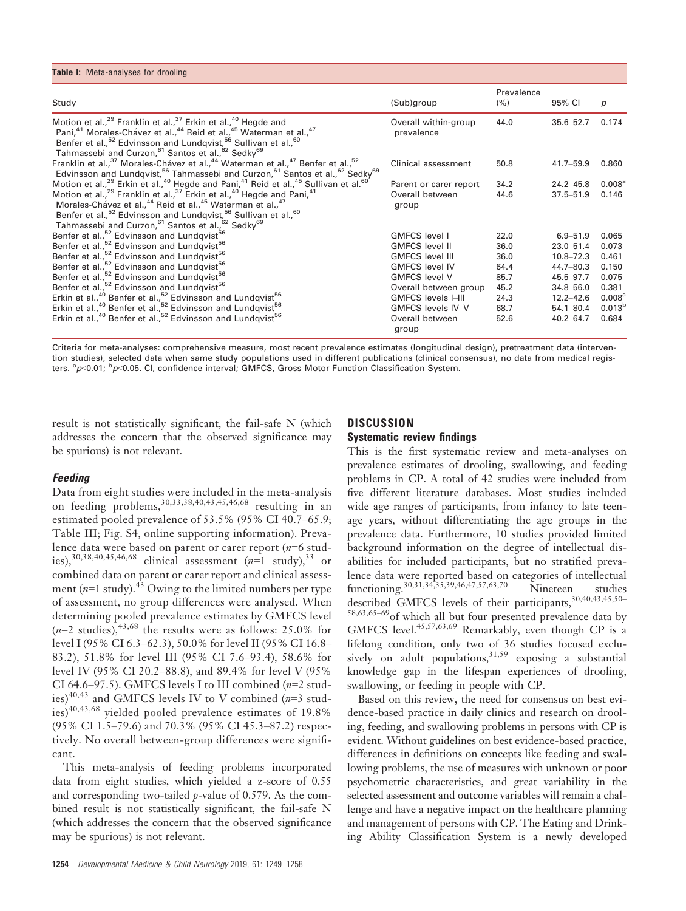| <b>Table I:</b> Meta-analyses for drooling                                                                                                                                                                                                                                                                                                                                                                             |                                    |                   |               |                    |  |  |  |
|------------------------------------------------------------------------------------------------------------------------------------------------------------------------------------------------------------------------------------------------------------------------------------------------------------------------------------------------------------------------------------------------------------------------|------------------------------------|-------------------|---------------|--------------------|--|--|--|
| Study                                                                                                                                                                                                                                                                                                                                                                                                                  | (Sub)group                         | Prevalence<br>(%) | 95% CI        | р                  |  |  |  |
| Motion et al., <sup>29</sup> Franklin et al., <sup>37</sup> Erkin et al., <sup>40</sup> Hegde and<br>Pani, <sup>41</sup> Morales-Chávez et al., <sup>44</sup> Reid et al., <sup>45</sup> Waterman et al., <sup>47</sup><br>Benfer et al., <sup>52</sup> Edvinsson and Lundqvist, <sup>56</sup> Sullivan et al., <sup>60</sup><br>Tahmassebi and Curzon, 61 Santos et al., 62 Sedky <sup>69</sup>                       | Overall within-group<br>prevalence | 44.0              | $35.6 - 52.7$ | 0.174              |  |  |  |
| Franklin et al., <sup>37</sup> Morales-Chávez et al., <sup>44</sup> Waterman et al., <sup>47</sup> Benfer et al., <sup>52</sup><br>Edvinsson and Lundqvist, <sup>56</sup> Tahmassebi and Curzon, <sup>61</sup> Santos et al., <sup>62</sup> Sedky <sup>69</sup>                                                                                                                                                        | Clinical assessment                | 50.8              | $41.7 - 59.9$ | 0.860              |  |  |  |
| Motion et al., <sup>29</sup> Erkin et al., <sup>40</sup> Hegde and Pani, <sup>41</sup> Reid et al., <sup>45</sup> Sullivan et al. <sup>60</sup>                                                                                                                                                                                                                                                                        | Parent or carer report             | 34.2              | $24.2 - 45.8$ | $0.008^{a}$        |  |  |  |
| Motion et al., <sup>29</sup> Franklin et al., <sup>37</sup> Erkin et al., <sup>40</sup> Hegde and Pani, <sup>41</sup><br>Morales-Chávez et al., <sup>44</sup> Reid et al., <sup>45</sup> Waterman et al., <sup>47</sup><br>Benfer et al., <sup>52</sup> Edvinsson and Lundqvist, <sup>56</sup> Sullivan et al., <sup>60</sup><br>Tahmassebi and Curzon, <sup>61</sup> Santos et al., <sup>62</sup> Sedky <sup>69</sup> | Overall between<br>group           | 44.6              | $37.5 - 51.9$ | 0.146              |  |  |  |
| Benfer et al., <sup>52</sup> Edvinsson and Lundqvist <sup>56</sup>                                                                                                                                                                                                                                                                                                                                                     | <b>GMFCS level I</b>               | 22.0              | $6.9 - 51.9$  | 0.065              |  |  |  |
| Benfer et al., <sup>52</sup> Edvinsson and Lundqvist <sup>56</sup>                                                                                                                                                                                                                                                                                                                                                     | <b>GMFCS level II</b>              | 36.0              | $23.0 - 51.4$ | 0.073              |  |  |  |
| Benfer et al., <sup>52</sup> Edvinsson and Lundqvist <sup>56</sup>                                                                                                                                                                                                                                                                                                                                                     | <b>GMFCS level III</b>             | 36.0              | $10.8 - 72.3$ | 0.461              |  |  |  |
| Benfer et al., <sup>52</sup> Edvinsson and Lundqvist <sup>56</sup>                                                                                                                                                                                                                                                                                                                                                     | <b>GMFCS level IV</b>              | 64.4              | 44.7-80.3     | 0.150              |  |  |  |
| Benfer et al., <sup>52</sup> Edvinsson and Lundqvist <sup>56</sup>                                                                                                                                                                                                                                                                                                                                                     | <b>GMFCS level V</b>               | 85.7              | 45.5-97.7     | 0.075              |  |  |  |
| Benfer et al., <sup>52</sup> Edvinsson and Lundqvist <sup>56</sup>                                                                                                                                                                                                                                                                                                                                                     | Overall between group              | 45.2              | 34.8-56.0     | 0.381              |  |  |  |
| Erkin et al., <sup>40</sup> Benfer et al., <sup>52</sup> Edvinsson and Lundqvist <sup>56</sup>                                                                                                                                                                                                                                                                                                                         | <b>GMFCS levels I-III</b>          | 24.3              | $12.2 - 42.6$ | 0.008 <sup>a</sup> |  |  |  |
| Erkin et al., <sup>40</sup> Benfer et al., <sup>52</sup> Edvinsson and Lundqvist <sup>56</sup>                                                                                                                                                                                                                                                                                                                         | GMFCS levels IV-V                  | 68.7              | $54.1 - 80.4$ | 0.013 <sup>b</sup> |  |  |  |
| Erkin et al., <sup>40</sup> Benfer et al., <sup>52</sup> Edvinsson and Lundqvist <sup>56</sup>                                                                                                                                                                                                                                                                                                                         | Overall between<br>group           | 52.6              | $40.2 - 64.7$ | 0.684              |  |  |  |

Criteria for meta-analyses: comprehensive measure, most recent prevalence estimates (longitudinal design), pretreatment data (intervention studies), selected data when same study populations used in different publications (clinical consensus), no data from medical registers. <sup>a</sup>p<0.01; <sup>b</sup>p<0.05. Cl, confidence interval; GMFCS, Gross Motor Function Classification System.

result is not statistically significant, the fail-safe N (which addresses the concern that the observed significance may be spurious) is not relevant.

## **DISCUSSION**

## Systematic review findings

## **Feeding**

Data from eight studies were included in the meta-analysis on feeding problems,  $30,33,38,40,43,45,46,68$  resulting in an estimated pooled prevalence of 53.5% (95% CI 40.7–65.9; Table III; Fig. S4, online supporting information). Prevalence data were based on parent or carer report  $(n=6$  studies),  $30,38,40,45,46,68$  clinical assessment  $(n=1 \text{ study})$ ,  $33 \text{ or }$ combined data on parent or carer report and clinical assessment ( $n=1$  study).<sup>43</sup> Owing to the limited numbers per type of assessment, no group differences were analysed. When determining pooled prevalence estimates by GMFCS level  $(n=2 \text{ studies})$ ,  $43,68$  the results were as follows: 25.0% for level I (95% CI 6.3–62.3), 50.0% for level II (95% CI 16.8– 83.2), 51.8% for level III (95% CI 7.6–93.4), 58.6% for level IV (95% CI 20.2–88.8), and 89.4% for level V (95% CI 64.6–97.5). GMFCS levels I to III combined ( $n=2$  studies)<sup>40,43</sup> and GMFCS levels IV to V combined ( $n=3$  studies) $40,43,68$  yielded pooled prevalence estimates of 19.8% (95% CI 1.5–79.6) and 70.3% (95% CI 45.3–87.2) respectively. No overall between-group differences were significant.

This meta-analysis of feeding problems incorporated data from eight studies, which yielded a z-score of 0.55 and corresponding two-tailed p-value of 0.579. As the combined result is not statistically significant, the fail-safe N (which addresses the concern that the observed significance may be spurious) is not relevant.

This is the first systematic review and meta-analyses on prevalence estimates of drooling, swallowing, and feeding problems in CP. A total of 42 studies were included from five different literature databases. Most studies included wide age ranges of participants, from infancy to late teenage years, without differentiating the age groups in the prevalence data. Furthermore, 10 studies provided limited background information on the degree of intellectual disabilities for included participants, but no stratified prevalence data were reported based on categories of intellectual functioning.30,31,34,35,39,46,47,57,63,70 Nineteen studies described GMFCS levels of their participants, 30,40,43,45,50-58,63,65-69<sub>of</sub> which all but four presented prevalence data by GMFCS level.<sup>45,57,63,69</sup> Remarkably, even though CP is a lifelong condition, only two of 36 studies focused exclusively on adult populations,  $31,59$  exposing a substantial knowledge gap in the lifespan experiences of drooling, swallowing, or feeding in people with CP.

Based on this review, the need for consensus on best evidence-based practice in daily clinics and research on drooling, feeding, and swallowing problems in persons with CP is evident. Without guidelines on best evidence-based practice, differences in definitions on concepts like feeding and swallowing problems, the use of measures with unknown or poor psychometric characteristics, and great variability in the selected assessment and outcome variables will remain a challenge and have a negative impact on the healthcare planning and management of persons with CP. The Eating and Drinking Ability Classification System is a newly developed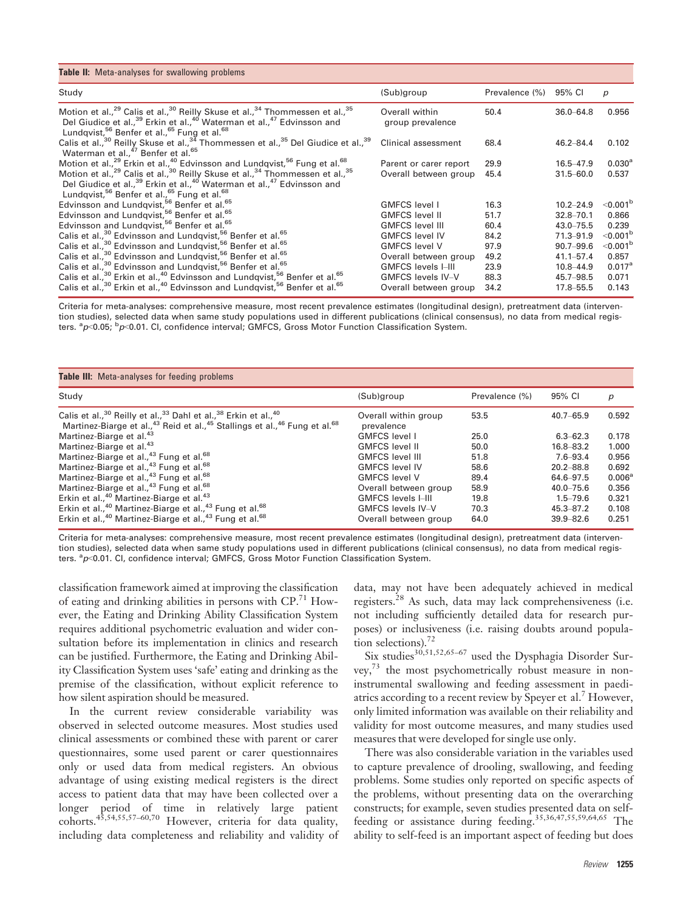| <b>Table II:</b> Meta-analyses for swallowing problems                                                                                                                                                                                                                                                                        |                                    |                       |               |                        |
|-------------------------------------------------------------------------------------------------------------------------------------------------------------------------------------------------------------------------------------------------------------------------------------------------------------------------------|------------------------------------|-----------------------|---------------|------------------------|
| Study                                                                                                                                                                                                                                                                                                                         | (Sub)group                         | Prevalence (%) 95% CI |               | $\boldsymbol{p}$       |
| Motion et al., <sup>29</sup> Calis et al., <sup>30</sup> Reilly Skuse et al., <sup>34</sup> Thommessen et al., <sup>35</sup><br>Del Giudice et al., <sup>39</sup> Erkin et al., <sup>40</sup> Waterman et al., <sup>47</sup> Edvinsson and<br>Lundqvist, <sup>56</sup> Benfer et al., <sup>65</sup> Fung et al. <sup>68</sup> | Overall within<br>group prevalence | 50.4                  | $36.0 - 64.8$ | 0.956                  |
| Calis et al., <sup>30</sup> Reilly Skuse et al., <sup>34</sup> Thommessen et al., <sup>35</sup> Del Giudice et al., <sup>39</sup><br>Waterman et al., <sup>47</sup> Benfer et al. <sup>65</sup>                                                                                                                               | Clinical assessment                | 68.4                  | $46.2 - 84.4$ | 0.102                  |
| Motion et al., <sup>29</sup> Erkin et al., <sup>40</sup> Edvinsson and Lundqvist, <sup>56</sup> Fung et al. <sup>68</sup>                                                                                                                                                                                                     | Parent or carer report             | 29.9                  | $16.5 - 47.9$ | $0.030^{a}$            |
| Motion et al., <sup>29</sup> Calis et al., <sup>30</sup> Reilly Skuse et al., <sup>34</sup> Thommessen et al., <sup>35</sup><br>Del Giudice et al., <sup>39</sup> Erkin et al., <sup>40</sup> Waterman et al., <sup>47</sup> Edvinsson and<br>Lundqvist, <sup>56</sup> Benfer et al., <sup>65</sup> Fung et al. <sup>68</sup> | Overall between group              | 45.4                  | $31.5 - 60.0$ | 0.537                  |
| Edvinsson and Lundqvist, <sup>56</sup> Benfer et al. <sup>65</sup>                                                                                                                                                                                                                                                            | <b>GMFCS level I</b>               | 16.3                  | $10.2 - 24.9$ | $<$ 0.001 $^{\rm b}$   |
| Edvinsson and Lundqvist, <sup>56</sup> Benfer et al. <sup>65</sup>                                                                                                                                                                                                                                                            | <b>GMFCS level II</b>              | 51.7                  | $32.8 - 70.1$ | 0.866                  |
| Edvinsson and Lundqvist, <sup>56</sup> Benfer et al. <sup>65</sup>                                                                                                                                                                                                                                                            | <b>GMFCS level III</b>             | 60.4                  | $43.0 - 75.5$ | 0.239                  |
| Calis et al., <sup>30</sup> Edvinsson and Lundqvist, <sup>56</sup> Benfer et al. <sup>65</sup>                                                                                                                                                                                                                                | <b>GMFCS level IV</b>              | 84.2                  | $71.3 - 91.9$ | $< 0.001^{\rm b}$      |
| Calis et al., <sup>30</sup> Edvinsson and Lundqvist, <sup>56</sup> Benfer et al. <sup>65</sup>                                                                                                                                                                                                                                | <b>GMFCS level V</b>               | 97.9                  | $90.7 - 99.6$ | $<$ 0.001 <sup>b</sup> |
| Calis et al., <sup>30</sup> Edvinsson and Lundqvist, <sup>56</sup> Benfer et al. <sup>65</sup>                                                                                                                                                                                                                                | Overall between group              | 49.2                  | $41.1 - 57.4$ | 0.857                  |
| Calis et al., <sup>30</sup> Edvinsson and Lundqvist, <sup>56</sup> Benfer et al. <sup>65</sup>                                                                                                                                                                                                                                | GMFCS levels I-III                 | 23.9                  | $10.8 - 44.9$ | 0.017 <sup>a</sup>     |
| Calis et al., <sup>30</sup> Erkin et al., <sup>40</sup> Edvinsson and Lundqvist, <sup>56</sup> Benfer et al. <sup>65</sup>                                                                                                                                                                                                    | GMFCS levels IV-V                  | 88.3                  | 45.7-98.5     | 0.071                  |
| Calis et al., <sup>30</sup> Erkin et al., <sup>40</sup> Edvinsson and Lundqvist, <sup>56</sup> Benfer et al. <sup>65</sup>                                                                                                                                                                                                    | Overall between group              | 34.2                  | 17.8-55.5     | 0.143                  |

Criteria for meta-analyses: comprehensive measure, most recent prevalence estimates (longitudinal design), pretreatment data (intervention studies), selected data when same study populations used in different publications (clinical consensus), no data from medical registers. <sup>a</sup>p<0.05; <sup>b</sup>p<0.01. Cl, confidence interval; GMFCS, Gross Motor Function Classification System.

| <b>Table III:</b> Meta-analyses for feeding problems                                                                                                                                                                                          |                                    |                |               |                 |  |  |  |
|-----------------------------------------------------------------------------------------------------------------------------------------------------------------------------------------------------------------------------------------------|------------------------------------|----------------|---------------|-----------------|--|--|--|
| Study                                                                                                                                                                                                                                         | (Sub)group                         | Prevalence (%) | 95% CI        | p               |  |  |  |
| Calis et al., <sup>30</sup> Reilly et al., <sup>33</sup> Dahl et al., <sup>38</sup> Erkin et al., <sup>40</sup><br>Martinez-Biarge et al., <sup>43</sup> Reid et al., <sup>45</sup> Stallings et al., <sup>46</sup> Fung et al. <sup>68</sup> | Overall within group<br>prevalence | 53.5           | $40.7 - 65.9$ | 0.592           |  |  |  |
| Martinez-Biarge et al. <sup>43</sup>                                                                                                                                                                                                          | <b>GMFCS level I</b>               | 25.0           | $6.3 - 62.3$  | 0.178           |  |  |  |
| Martinez-Biarge et al. <sup>43</sup>                                                                                                                                                                                                          | <b>GMFCS level II</b>              | 50.0           | 16.8-83.2     | 1.000           |  |  |  |
| Martinez-Biarge et al., <sup>43</sup> Fung et al. <sup>68</sup>                                                                                                                                                                               | <b>GMFCS level III</b>             | 51.8           | $7.6 - 93.4$  | 0.956           |  |  |  |
| Martinez-Biarge et al., <sup>43</sup> Fung et al. <sup>68</sup>                                                                                                                                                                               | <b>GMFCS level IV</b>              | 58.6           | $20.2 - 88.8$ | 0.692           |  |  |  |
| Martinez-Biarge et al., <sup>43</sup> Fung et al. <sup>68</sup>                                                                                                                                                                               | <b>GMFCS level V</b>               | 89.4           | 64.6 - 97.5   | $0.006^{\rm a}$ |  |  |  |
| Martinez-Biarge et al., <sup>43</sup> Fung et al. <sup>68</sup>                                                                                                                                                                               | Overall between group              | 58.9           | $40.0 - 75.6$ | 0.356           |  |  |  |
| Erkin et al., <sup>40</sup> Martinez-Biarge et al. <sup>43</sup>                                                                                                                                                                              | <b>GMFCS levels I-III</b>          | 19.8           | $1.5 - 79.6$  | 0.321           |  |  |  |
| Erkin et al., <sup>40</sup> Martinez-Biarge et al., <sup>43</sup> Fung et al. <sup>68</sup>                                                                                                                                                   | <b>GMFCS levels IV-V</b>           | 70.3           | $45.3 - 87.2$ | 0.108           |  |  |  |
| Erkin et al., <sup>40</sup> Martinez-Biarge et al., <sup>43</sup> Fung et al. <sup>68</sup>                                                                                                                                                   | Overall between group              | 64.0           | $39.9 - 82.6$ | 0.251           |  |  |  |

Criteria for meta-analyses: comprehensive measure, most recent prevalence estimates (longitudinal design), pretreatment data (intervention studies), selected data when same study populations used in different publications (clinical consensus), no data from medical registers. <sup>a</sup>p<0.01. CI, confidence interval; GMFCS, Gross Motor Function Classification System.

classification framework aimed at improving the classification of eating and drinking abilities in persons with CP.<sup>71</sup> However, the Eating and Drinking Ability Classification System requires additional psychometric evaluation and wider consultation before its implementation in clinics and research can be justified. Furthermore, the Eating and Drinking Ability Classification System uses 'safe' eating and drinking as the premise of the classification, without explicit reference to how silent aspiration should be measured.

In the current review considerable variability was observed in selected outcome measures. Most studies used clinical assessments or combined these with parent or carer questionnaires, some used parent or carer questionnaires only or used data from medical registers. An obvious advantage of using existing medical registers is the direct access to patient data that may have been collected over a longer period of time in relatively large patient cohorts.45,54,55,57–60,70 However, criteria for data quality, including data completeness and reliability and validity of

data, may not have been adequately achieved in medical registers.<sup>28</sup> As such, data may lack comprehensiveness (i.e. not including sufficiently detailed data for research purposes) or inclusiveness (i.e. raising doubts around population selections).<sup>72</sup>

Six studies<sup>30,51,52,65–67</sup> used the Dysphagia Disorder Survey, $^{73}$  the most psychometrically robust measure in noninstrumental swallowing and feeding assessment in paediatrics according to a recent review by Speyer et al.<sup>7</sup> However, only limited information was available on their reliability and validity for most outcome measures, and many studies used measures that were developed for single use only.

There was also considerable variation in the variables used to capture prevalence of drooling, swallowing, and feeding problems. Some studies only reported on specific aspects of the problems, without presenting data on the overarching constructs; for example, seven studies presented data on selffeeding or assistance during feeding.35,36,47,55,59,64,65 The ability to self-feed is an important aspect of feeding but does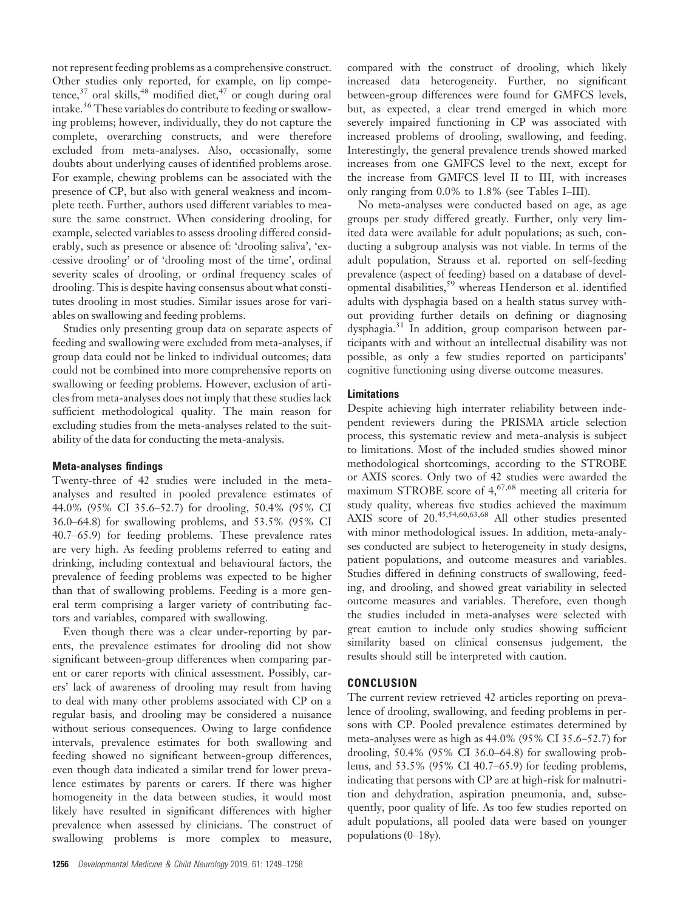not represent feeding problems as a comprehensive construct. Other studies only reported, for example, on lip competence, $37$  oral skills, $48$  modified diet, $47$  or cough during oral intake.<sup>36</sup> These variables do contribute to feeding or swallowing problems; however, individually, they do not capture the complete, overarching constructs, and were therefore excluded from meta-analyses. Also, occasionally, some doubts about underlying causes of identified problems arose. For example, chewing problems can be associated with the presence of CP, but also with general weakness and incomplete teeth. Further, authors used different variables to measure the same construct. When considering drooling, for example, selected variables to assess drooling differed considerably, such as presence or absence of: 'drooling saliva', 'excessive drooling' or of 'drooling most of the time', ordinal severity scales of drooling, or ordinal frequency scales of drooling. This is despite having consensus about what constitutes drooling in most studies. Similar issues arose for variables on swallowing and feeding problems.

Studies only presenting group data on separate aspects of feeding and swallowing were excluded from meta-analyses, if group data could not be linked to individual outcomes; data could not be combined into more comprehensive reports on swallowing or feeding problems. However, exclusion of articles from meta-analyses does not imply that these studies lack sufficient methodological quality. The main reason for excluding studies from the meta-analyses related to the suitability of the data for conducting the meta-analysis.

## Meta-analyses findings

Twenty-three of 42 studies were included in the metaanalyses and resulted in pooled prevalence estimates of 44.0% (95% CI 35.6–52.7) for drooling, 50.4% (95% CI 36.0–64.8) for swallowing problems, and 53.5% (95% CI 40.7–65.9) for feeding problems. These prevalence rates are very high. As feeding problems referred to eating and drinking, including contextual and behavioural factors, the prevalence of feeding problems was expected to be higher than that of swallowing problems. Feeding is a more general term comprising a larger variety of contributing factors and variables, compared with swallowing.

Even though there was a clear under-reporting by parents, the prevalence estimates for drooling did not show significant between-group differences when comparing parent or carer reports with clinical assessment. Possibly, carers' lack of awareness of drooling may result from having to deal with many other problems associated with CP on a regular basis, and drooling may be considered a nuisance without serious consequences. Owing to large confidence intervals, prevalence estimates for both swallowing and feeding showed no significant between-group differences, even though data indicated a similar trend for lower prevalence estimates by parents or carers. If there was higher homogeneity in the data between studies, it would most likely have resulted in significant differences with higher prevalence when assessed by clinicians. The construct of swallowing problems is more complex to measure,

compared with the construct of drooling, which likely increased data heterogeneity. Further, no significant between-group differences were found for GMFCS levels, but, as expected, a clear trend emerged in which more severely impaired functioning in CP was associated with increased problems of drooling, swallowing, and feeding. Interestingly, the general prevalence trends showed marked increases from one GMFCS level to the next, except for the increase from GMFCS level II to III, with increases only ranging from 0.0% to 1.8% (see Tables I–III).

No meta-analyses were conducted based on age, as age groups per study differed greatly. Further, only very limited data were available for adult populations; as such, conducting a subgroup analysis was not viable. In terms of the adult population, Strauss et al. reported on self-feeding prevalence (aspect of feeding) based on a database of developmental disabilities,<sup>59</sup> whereas Henderson et al. identified adults with dysphagia based on a health status survey without providing further details on defining or diagnosing dysphagia.<sup>31</sup> In addition, group comparison between participants with and without an intellectual disability was not possible, as only a few studies reported on participants' cognitive functioning using diverse outcome measures.

#### Limitations

Despite achieving high interrater reliability between independent reviewers during the PRISMA article selection process, this systematic review and meta-analysis is subject to limitations. Most of the included studies showed minor methodological shortcomings, according to the STROBE or AXIS scores. Only two of 42 studies were awarded the maximum STROBE score of 4,<sup>67,68</sup> meeting all criteria for study quality, whereas five studies achieved the maximum AXIS score of 20.<sup>45,54,60,63,68</sup> All other studies presented with minor methodological issues. In addition, meta-analyses conducted are subject to heterogeneity in study designs, patient populations, and outcome measures and variables. Studies differed in defining constructs of swallowing, feeding, and drooling, and showed great variability in selected outcome measures and variables. Therefore, even though the studies included in meta-analyses were selected with great caution to include only studies showing sufficient similarity based on clinical consensus judgement, the results should still be interpreted with caution.

## **CONCLUSION**

The current review retrieved 42 articles reporting on prevalence of drooling, swallowing, and feeding problems in persons with CP. Pooled prevalence estimates determined by meta-analyses were as high as 44.0% (95% CI 35.6–52.7) for drooling, 50.4% (95% CI 36.0–64.8) for swallowing problems, and 53.5% (95% CI 40.7–65.9) for feeding problems, indicating that persons with CP are at high-risk for malnutrition and dehydration, aspiration pneumonia, and, subsequently, poor quality of life. As too few studies reported on adult populations, all pooled data were based on younger populations (0–18y).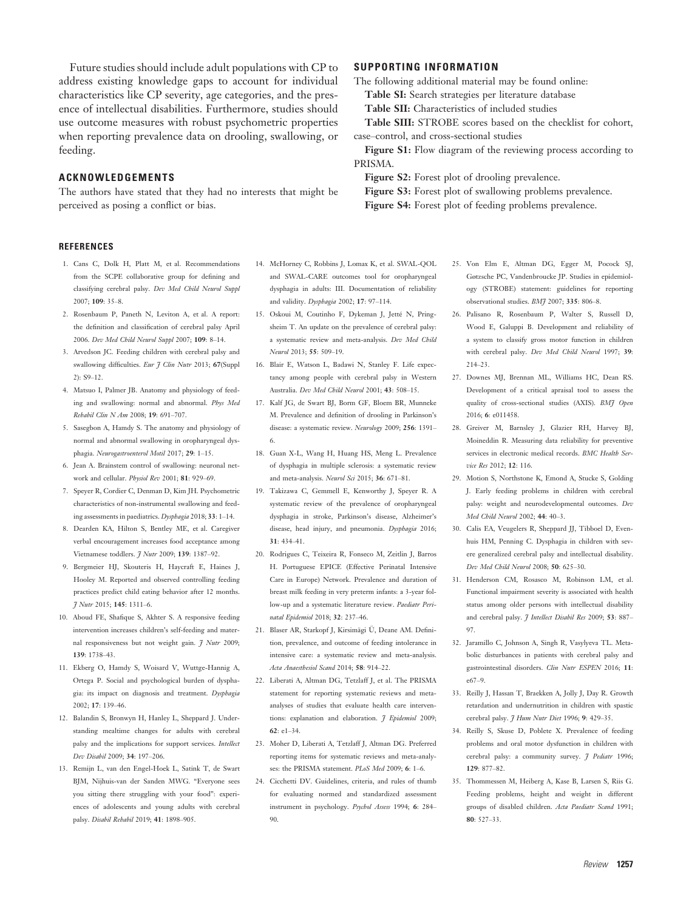Future studies should include adult populations with CP to address existing knowledge gaps to account for individual characteristics like CP severity, age categories, and the presence of intellectual disabilities. Furthermore, studies should use outcome measures with robust psychometric properties when reporting prevalence data on drooling, swallowing, or feeding.

## ACKNOWLEDGEMENTS

The authors have stated that they had no interests that might be perceived as posing a conflict or bias.

#### SUPPORTING INFORMATION

The following additional material may be found online:

Table SI: Search strategies per literature database

Table SII: Characteristics of included studies

Table SIII: STROBE scores based on the checklist for cohort, case–control, and cross-sectional studies

Figure S1: Flow diagram of the reviewing process according to PRISMA.

Figure S2: Forest plot of drooling prevalence.

Figure S3: Forest plot of swallowing problems prevalence. Figure S4: Forest plot of feeding problems prevalence.

#### **REFERENCES**

- 1. Cans C, Dolk H, Platt M, et al. Recommendations from the SCPE collaborative group for defining and classifying cerebral palsy. Dev Med Child Neurol Suppl 2007; 109: 35–8.
- 2. Rosenbaum P, Paneth N, Leviton A, et al. A report: the definition and classification of cerebral palsy April 2006. Dev Med Child Neurol Suppl 2007; 109: 8–14.
- 3. Arvedson JC. Feeding children with cerebral palsy and swallowing difficulties. Eur J Clin Nutr 2013; 67(Suppl 2): S9–12.
- 4. Matsuo I, Palmer JB. Anatomy and physiology of feeding and swallowing: normal and abnormal. Phys Med Rehabil Clin N Am 2008; 19: 691–707.
- 5. Sasegbon A, Hamdy S. The anatomy and physiology of normal and abnormal swallowing in oropharyngeal dysphagia. Neurogastroenterol Motil 2017; 29: 1–15.
- 6. Jean A. Brainstem control of swallowing: neuronal network and cellular. Physiol Rev 2001; 81: 929–69.
- 7. Speyer R, Cordier C, Denman D, Kim JH. Psychometric characteristics of non-instrumental swallowing and feeding assessments in paediatrics. Dysphagia 2018; 33: 1–14.
- 8. Dearden KA, Hilton S, Bentley ME, et al. Caregiver verbal encouragement increases food acceptance among Vietnamese toddlers. *J Nutr* 2009; 139: 1387-92.
- 9. Bergmeier HJ, Skouteris H, Haycraft E, Haines J, Hooley M. Reported and observed controlling feeding practices predict child eating behavior after 12 months. J Nutr 2015; 145: 1311–6.
- 10. Aboud FE, Shafique S, Akhter S. A responsive feeding intervention increases children's self-feeding and maternal responsiveness but not weight gain.  $J$  Nutr 2009; 139: 1738–43.
- 11. Ekberg O, Hamdy S, Woisard V, Wuttge-Hannig A, Ortega P. Social and psychological burden of dysphagia: its impact on diagnosis and treatment. Dysphagia 2002; 17: 139–46.
- 12. Balandin S, Bronwyn H, Hanley L, Sheppard J. Understanding mealtime changes for adults with cerebral palsy and the implications for support services. Intellect Dev Disabil 2009; <sup>34</sup>: 197–206.
- 13. Remijn L, van den Engel-Hoek L, Satink T, de Swart BJM, Nijhuis-van der Sanden MWG. "Everyone sees you sitting there struggling with your food": experiences of adolescents and young adults with cerebral palsy. Disabil Rehabil 2019; 41: 1898–905.
- 14. McHorney C, Robbins J, Lomax K, et al. SWAL-QOL and SWAL-CARE outcomes tool for oropharyngeal dysphagia in adults: III. Documentation of reliability and validity. Dysphagia 2002; 17: 97–114.
- 15. Oskoui M, Coutinho F, Dykeman J, Jette N, Pringsheim T. An update on the prevalence of cerebral palsy: a systematic review and meta-analysis. Dev Med Child Neurol 2013; 55: 509–19.
- 16. Blair E, Watson L, Badawi N, Stanley F. Life expectancy among people with cerebral palsy in Western Australia. Dev Med Child Neurol 2001; 43: 508–15.
- 17. Kalf JG, de Swart BJ, Borm GF, Bloem BR, Munneke M. Prevalence and definition of drooling in Parkinson's disease: a systematic review. Neurology 2009; 256: 1391– 6.
- 18. Guan X-L, Wang H, Huang HS, Meng L. Prevalence of dysphagia in multiple sclerosis: a systematic review and meta-analysis. Neurol Sci 2015; 36: 671–81.
- 19. Takizawa C, Gemmell E, Kenworthy J, Speyer R. A systematic review of the prevalence of oropharyngeal dysphagia in stroke, Parkinson's disease, Alzheimer's disease, head injury, and pneumonia. Dysphagia 2016; 31: 434–41.
- 20. Rodrigues C, Teixeira R, Fonseco M, Zeitlin J, Barros H. Portuguese EPICE (Effective Perinatal Intensive Care in Europe) Network. Prevalence and duration of breast milk feeding in very preterm infants: a 3-year follow-up and a systematic literature review. Paediatr Perinatal Epidemiol 2018; 32: 237–46.
- 21. Blaser AR, Starkopf J, Kirsimägi Ü, Deane AM. Definition, prevalence, and outcome of feeding intolerance in intensive care: a systematic review and meta-analysis. Acta Anaesthesiol Scand 2014; 58: 914–22.
- 22. Liberati A, Altman DG, Tetzlaff J, et al. The PRISMA statement for reporting systematic reviews and metaanalyses of studies that evaluate health care interventions: explanation and elaboration. *J Epidemiol* 2009; 62: e1–34.
- 23. Moher D, Liberati A, Tetzlaff J, Altman DG. Preferred reporting items for systematic reviews and meta-analyses: the PRISMA statement. PLoS Med 2009; 6: 1–6.
- 24. Cicchetti DV. Guidelines, criteria, and rules of thumb for evaluating normed and standardized assessment instrument in psychology. Psychol Assess 1994; 6: 284– 90.
- 25. Von Elm E, Altman DG, Egger M, Pocock SJ, Gøtzsche PC, Vandenbroucke JP. Studies in epidemiology (STROBE) statement: guidelines for reporting observational studies. BMJ 2007; 335: 806–8.
- 26. Palisano R, Rosenbaum P, Walter S, Russell D, Wood E, Galuppi B. Development and reliability of a system to classify gross motor function in children with cerebral palsy. Dev Med Child Neurol 1997; 39: 214–23.
- 27. Downes MJ, Brennan ML, Williams HC, Dean RS. Development of a critical apraisal tool to assess the quality of cross-sectional studies (AXIS). BMJ Open 2016; 6: e011458.
- 28. Greiver M, Barnsley J, Glazier RH, Harvey BJ, Moineddin R. Measuring data reliability for preventive services in electronic medical records. BMC Health Service Res 2012; 12: 116.
- 29. Motion S, Northstone K, Emond A, Stucke S, Golding J. Early feeding problems in children with cerebral palsy: weight and neurodevelopmental outcomes. Dev Med Child Neurol 2002; 44: 40–3.
- 30. Calis EA, Veugelers R, Sheppard JJ, Tibboel D, Evenhuis HM, Penning C. Dysphagia in children with severe generalized cerebral palsy and intellectual disability. Dev Med Child Neurol 2008; 50: 625–30.
- 31. Henderson CM, Rosasco M, Robinson LM, et al. Functional impairment severity is associated with health status among older persons with intellectual disability and cerebral palsy. *J Intellect Disabil Res* 2009; 53: 887-97.
- 32. Jaramillo C, Johnson A, Singh R, Vasylyeva TL. Metabolic disturbances in patients with cerebral palsy and gastrointestinal disorders. Clin Nutr ESPEN 2016; 11: e67–9.
- 33. Reilly J, Hassan T, Braekken A, Jolly J, Day R. Growth retardation and undernutrition in children with spastic cerebral palsy. *J Hum Nutr Diet* 1996; 9: 429-35.
- 34. Reilly S, Skuse D, Poblete X. Prevalence of feeding problems and oral motor dysfunction in children with cerebral palsy: a community survey. *J Pediatr* 1996; <sup>129</sup>: 877–82.
- 35. Thommessen M, Heiberg A, Kase B, Larsen S, Riis G. Feeding problems, height and weight in different groups of disabled children. Acta Paediatr Scand 1991; 80: 527–33.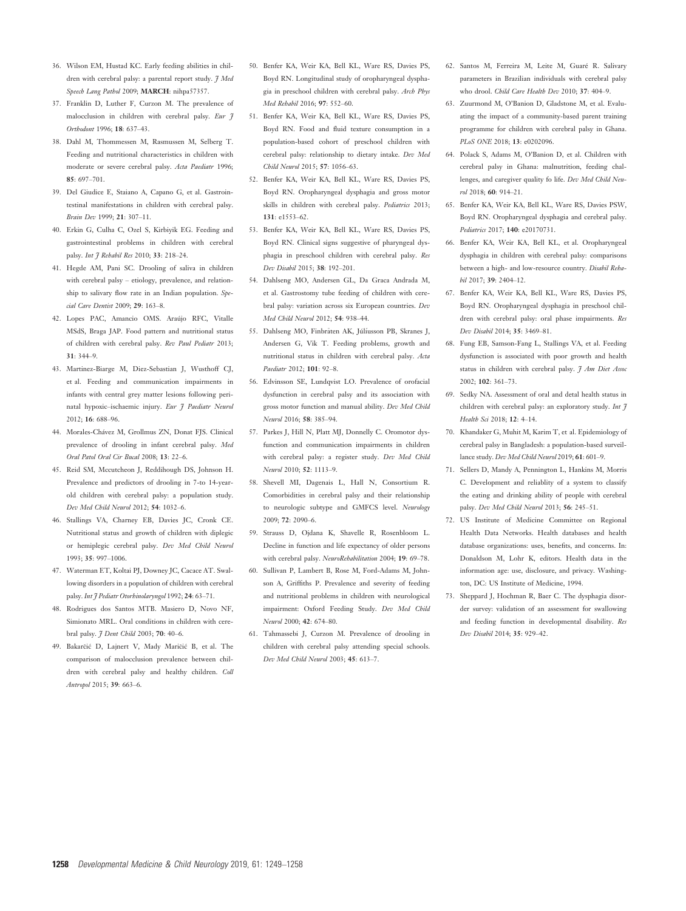- 36. Wilson EM, Hustad KC. Early feeding abilities in children with cerebral palsy: a parental report study.  $\widetilde{\jmath}$  Med Speech Lang Pathol 2009: MARCH: nihpa57357.
- 37. Franklin D, Luther F, Curzon M. The prevalence of malocclusion in children with cerebral palsy. Eur 7 Orthodont 1996; 18: 637–43.
- 38. Dahl M, Thommessen M, Rasmussen M, Selberg T. Feeding and nutritional characteristics in children with moderate or severe cerebral palsy. Acta Paediatr 1996; 85: 697–701.
- 39. Del Giudice E, Staiano A, Capano G, et al. Gastrointestinal manifestations in children with cerebral palsy. Brain Dev 1999; 21: 307–11.
- 40. Erkin G, Culha C, Ozel S, Kirbiyik EG. Feeding and gastrointestinal problems in children with cerebral palsy. Int J Rehabil Res 2010; 33: 218–24.
- 41. Hegde AM, Pani SC. Drooling of saliva in children with cerebral palsy – etiology, prevalence, and relationship to salivary flow rate in an Indian population. Special Care Dentist 2009; 29: 163–8.
- 42. Lopes PAC, Amancio OMS. Araujo RFC, Vitalle MSdS, Braga JAP. Food pattern and nutritional status of children with cerebral palsy. Rev Paul Pediatr 2013; 31: 344–9.
- 43. Martinez-Biarge M, Diez-Sebastian J, Wusthoff CJ, et al. Feeding and communication impairments in infants with central grey matter lesions following perinatal hypoxic-ischaemic injury. Eur J Paediatr Neurol 2012; 16: 688–96.
- 44. Morales-Chávez M, Grollmus ZN, Donat FIS, Clinical prevalence of drooling in infant cerebral palsy. Med Oral Patol Oral Cir Bucal 2008; 13: 22–6.
- 45. Reid SM, Mccutcheon J, Reddihough DS, Johnson H. Prevalence and predictors of drooling in 7-to 14-yearold children with cerebral palsy: a population study. Dev Med Child Neurol 2012; 54: 1032–6.
- 46. Stallings VA, Charney EB, Davies JC, Cronk CE. Nutritional status and growth of children with diplegic or hemiplegic cerebral palsy. Dev Med Child Neurol 1993; 35: 997–1006.
- 47. Waterman ET, Koltai PJ, Downey JC, Cacace AT. Swallowing disorders in a population of children with cerebral palsy. Int J Pediatr Otorhinolaryngol 1992; 24: 63-71.
- 48. Rodrigues dos Santos MTB. Masiero D, Novo NF, Simionato MRL. Oral conditions in children with cerebral palsy. *J Dent Child* 2003; 70: 40-6.
- 49. Bakarcic D, Lajnert V, Mady Maricic B, et al. The comparison of malocclusion prevalence between children with cerebral palsy and healthy children. Coll Antropol 2015; 39: 663–6.
- 50. Benfer KA, Weir KA, Bell KL, Ware RS, Davies PS, Boyd RN. Longitudinal study of oropharyngeal dysphagia in preschool children with cerebral palsy. Arch Phys Med Rehabil 2016; 97: 552–60.
- 51. Benfer KA, Weir KA, Bell KL, Ware RS, Davies PS, Boyd RN. Food and fluid texture consumption in a population-based cohort of preschool children with cerebral palsy: relationship to dietary intake. Dev Med Child Neurol 2015; 57: 1056–63.
- 52. Benfer KA, Weir KA, Bell KL, Ware RS, Davies PS, Boyd RN. Oropharyngeal dysphagia and gross motor skills in children with cerebral palsy. Pediatrics 2013; 131: e1553–62.
- 53. Benfer KA, Weir KA, Bell KL, Ware RS, Davies PS, Boyd RN. Clinical signs suggestive of pharyngeal dysphagia in preschool children with cerebral palsy. Res Dev Disabil 2015; 38: 192–201.
- 54. Dahlseng MO, Andersen GL, Da Graca Andrada M, et al. Gastrostomy tube feeding of children with cerebral palsy: variation across six European countries. Dev Med Child Neurol 2012; 54: 938–44.
- 55. Dahlseng MO, Finbråten AK, Júlíusson PB, Skranes J, Andersen G, Vik T. Feeding problems, growth and nutritional status in children with cerebral palsy. Acta Paediatr 2012; 101: 92–8.
- 56. Edvinsson SE, Lundqvist LO. Prevalence of orofacial dysfunction in cerebral palsy and its association with gross motor function and manual ability. Dev Med Child Neurol 2016; 58: 385–94.
- 57. Parkes J, Hill N, Platt MJ, Donnelly C. Oromotor dysfunction and communication impairments in children with cerebral palsy: a register study. Dev Med Child Neurol 2010; 52: 1113–9.
- 58. Shevell MI, Dagenais L, Hall N, Consortium R. Comorbidities in cerebral palsy and their relationship to neurologic subtype and GMFCS level. Neurology 2009; 72: 2090–6.
- 59. Strauss D, Ojdana K, Shavelle R, Rosenbloom L. Decline in function and life expectancy of older persons with cerebral palsy. NeuroRehabilitation 2004; 19: 69–78.
- 60. Sullivan P, Lambert B, Rose M, Ford-Adams M, Johnson A, Griffiths P. Prevalence and severity of feeding and nutritional problems in children with neurological impairment: Oxford Feeding Study. Dev Med Child Neurol 2000; 42: 674–80.
- 61. Tahmassebi J, Curzon M. Prevalence of drooling in children with cerebral palsy attending special schools. Dev Med Child Neurol 2003; 45: 613–7.
- 62. Santos M, Ferreira M, Leite M, Guare R. Salivary parameters in Brazilian individuals with cerebral palsy who drool. Child Care Health Dev 2010; 37: 404–9.
- 63. Zuurmond M, O'Banion D, Gladstone M, et al. Evaluating the impact of a community-based parent training programme for children with cerebral palsy in Ghana. PLoS ONE 2018; 13: e0202096.
- 64. Polack S, Adams M, O'Banion D, et al. Children with cerebral palsy in Ghana: malnutrition, feeding challenges, and caregiver quality fo life. Dev Med Child Neurol 2018; 60: 914–21.
- 65. Benfer KA, Weir KA, Bell KL, Ware RS, Davies PSW, Boyd RN. Oropharyngeal dysphagia and cerebral palsy. Pediatrics 2017; 140: e20170731.
- 66. Benfer KA, Weir KA, Bell KL, et al. Oropharyngeal dysphagia in children with cerebral palsy: comparisons between a high- and low-resource country. Disabil Rehabil 2017; 39: 2404–12.
- 67. Benfer KA, Weir KA, Bell KL, Ware RS, Davies PS, Boyd RN. Oropharyngeal dysphagia in preschool children with cerebral palsy: oral phase impairments. Res Dev Disabil 2014; 35: 3469–81.
- 68. Fung EB, Samson-Fang L, Stallings VA, et al. Feeding dysfunction is associated with poor growth and health status in children with cerebral palsy.  $\mathcal{J}$  Am Diet Assoc 2002; 102: 361–73.
- 69. Sedky NA. Assessment of oral and detal health status in children with cerebral palsy: an exploratory study. Int  $\mathcal J$ Health Sci 2018; 12: 4–14.
- 70. Khandaker G, Muhit M, Karim T, et al. Epidemiology of cerebral palsy in Bangladesh: a population-based surveillance study. Dev Med Child Neurol 2019; 61: 601–9.
- 71. Sellers D, Mandy A, Pennington L, Hankins M, Morris C. Development and reliablity of a system to classify the eating and drinking ability of people with cerebral palsy. Dev Med Child Neurol 2013; 56: 245–51.
- 72. US Institute of Medicine Committee on Regional Health Data Networks. Health databases and health database organizations: uses, benefits, and concerns. In: Donaldson M, Lohr K, editors. Health data in the information age: use, disclosure, and privacy. Washington, DC: US Institute of Medicine, 1994.
- 73. Sheppard J, Hochman R, Baer C. The dysphagia disorder survey: validation of an assessment for swallowing and feeding function in developmental disability. Res Dev Disabil 2014; 35: 929–42.